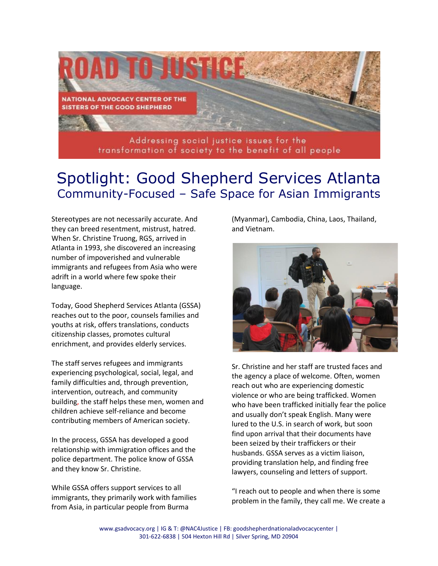

## Spotlight: Good Shepherd Services Atlanta Community-Focused – Safe Space for Asian Immigrants

Stereotypes are not necessarily accurate. And they can breed resentment, mistrust, hatred. When Sr. Christine Truong, RGS, arrived in Atlanta in 1993, she discovered an increasing number of impoverished and vulnerable immigrants and refugees from Asia who were adrift in a world where few spoke their language.

Today, Good Shepherd Services Atlanta (GSSA) reaches out to the poor, counsels families and youths at risk, offers translations, conducts citizenship classes, promotes cultural enrichment, and provides elderly services.

The staff serves refugees and immigrants experiencing psychological, social, legal, and family difficulties and, through prevention, intervention, outreach, and community building, the staff helps these men, women and children achieve self-reliance and become contributing members of American society.

In the process, GSSA has developed a good relationship with immigration offices and the police department. The police know of GSSA and they know Sr. Christine.

While GSSA offers support services to all immigrants, they primarily work with families from Asia, in particular people from Burma

(Myanmar), Cambodia, China, Laos, Thailand, and Vietnam.



Sr. Christine and her staff are trusted faces and the agency a place of welcome. Often, women reach out who are experiencing domestic violence or who are being trafficked. Women who have been trafficked initially fear the police and usually don't speak English. Many were lured to the U.S. in search of work, but soon find upon arrival that their documents have been seized by their traffickers or their husbands. GSSA serves as a victim liaison, providing translation help, and finding free lawyers, counseling and letters of support.

"I reach out to people and when there is some problem in the family, they call me. We create a